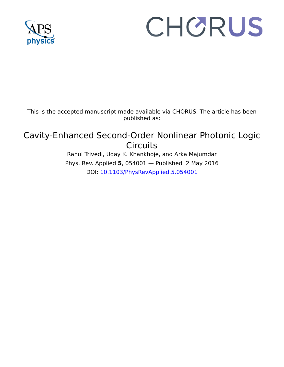

# CHORUS

This is the accepted manuscript made available via CHORUS. The article has been published as:

# Cavity-Enhanced Second-Order Nonlinear Photonic Logic Circuits

Rahul Trivedi, Uday K. Khankhoje, and Arka Majumdar Phys. Rev. Applied **5**, 054001 — Published 2 May 2016 DOI: 10.1103/PhysRevApplied.5.054001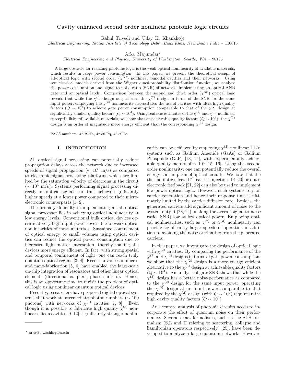## Cavity enhanced second order nonlinear photonic logic circuits

Rahul Trivedi and Uday K. Khankhoje

Electrical Engineering, Indian Institute of Technology Delhi, Hauz Khas, New Delhi, India – 110016

Arka Majumdar<sup>∗</sup>

Electrical Engineering and Physics, University of Washington, Seattle, WA – 98195

A large obstacle for realizing photonic logic is the weak optical nonlinearity of available materials, which results in large power consumption. In this paper, we present the theoretical design of all-optical logic with second order  $(\chi^{(2)})$  nonlinear bimodal cavities and their networks. Using semiclassical models derived from the Wigner quasi-probability distribution function, we analyze the power consumption and signal-to-noise ratio (SNR) of networks implementing an optical AND gate and an optical latch. Comparison between the second and third order  $(\chi^{(3)})$  optical logic reveals that while the  $\chi^{(3)}$  design outperforms the  $\chi^{(2)}$  design in terms of the SNR for the same input power, employing the  $\chi^{(3)}$  nonlinearity necessitates the use of cavities with ultra high quality factors  $(Q \sim 10^6)$  to achieve gate power consumption comparable to that of the  $\chi^{(2)}$  design at significantly smaller quality factors  $(Q \sim 10^4)$ . Using realistic estimates of the  $\chi^{(2)}$  and  $\chi^{(3)}$  nonlinear susceptibilities of available materials, we show that at achievable quality factors  $(Q \sim 10^4)$ , the  $\chi^{(2)}$ design is an order of magnitude more energy efficient than the corresponding  $\chi^{(3)}$  design.

PACS numbers: 42.79.Ta, 42.50.Pq, 42.50.Lc

#### I. INTRODUCTION

All optical signal processing can potentially reduce propagation delays across the network due to increased speeds of signal propagation ( $\sim 10^8$  m/s) as compared to electronic signal processing platforms which are limited by the saturation velocity of electrons in the circuit  $({\sim 10^5 \text{ m/s}})$ . Systems performing signal processing directly on optical signals can thus achieve significantly higher speeds at a lower power compared to their microelectronic counterparts [1, 2].

The primary difficulty in implementing an all-optical signal processor lies in achieving optical nonlinearity at low energy levels. Conventional bulk optical devices operate at very high input power levels due to weak optical nonlinearities of most materials. Sustained confinement of optical energy to small volumes using optical cavities can reduce the optical power consumption due to increased light-matter interaction, thereby making the devices more energy efficient. In fact, with strong spatial and temporal confinement of light, one can reach truly quantum optical regime [3, 4]. Recent advances in microand nano-fabrication [5, 6] have enabled the large-scale on-chip integration of resonators and other linear optical elements (directional couplers, phase shifters). Hence, this is an opportune time to revisit the problem of optical logic using nonlinear quantum optical devices.

Recently, researchers have proposed digital optical systems that work at intermediate photon numbers ( $\sim 100$ ) photons) with networks of  $\chi^{(3)}$  cavities [7, 8]. Even though it is possible to fabricate high quality  $\chi^{(3)}$  nonlinear silicon cavities [9–12], significantly stronger nonlin-

earity can be achieved by employing  $\chi^{(2)}$  nonlinear III-V systems such as Gallium Arsenide (GaAs) or Gallium Phosphide (GaP) [13, 14], with experimentally achievable quality factors of  $\sim 10^4$  [15, 16]. Using this second order nonlinearity, one can potentially reduce the overall energy consumption of optical circuits. We note that the thermo-optic effect [17], carrier injection [18–20] or optoelectronic feedback [21, 22] can also be used to implement low-power optical logic. However, such systems rely on carrier generation and hence their response time is ultimately limited by the carrier diffusion rate. Besides, the generated carriers add significant amount of noise to the system output [23, 24], making the overall signal-to-noise ratio (SNR) low at low optical power. Employing optical nonlinearities, such as  $\chi^{(2)}$  or  $\chi^{(3)}$  nonlinearity can provide significantly larger speeds of operation in addition to avoiding the noise originating from the generated carriers.

In this paper, we investigate the design of optical logic with  $\chi^{(2)}$  cavities. By comparing the performance of the  $\chi^{(2)}$  and  $\chi^{(3)}$  designs in terms of gate power consumption, we show that the  $\chi^{(2)}$  design is a more energy efficient alternative to the  $\chi^{(3)}$  design at achievable quality factors  $(Q \sim 10^4)$ . An analysis of gate SNR shows that while the  $\chi^{(3)}$  design has a better noise-performance as compared to the  $\chi^{(2)}$  design for the same input power, operating the  $\chi^{(3)}$  design at an input power comparable to that required by the  $\chi^{(2)}$  design (with  $Q \sim 10^4$ ) requires ultra high cavity quality factors  $(Q \sim 10^6)$ .

An accurate analysis of photonic circuits needs to incorporate the effect of quantum noise on their performance. Several exact formalisms, such as the SLH formalism (S,L and H refering to scattering, collapse and hamiltonian operators respectively) [25], have been developed to analyze a large quantum network. However,

<sup>∗</sup> arka@u.washington.edu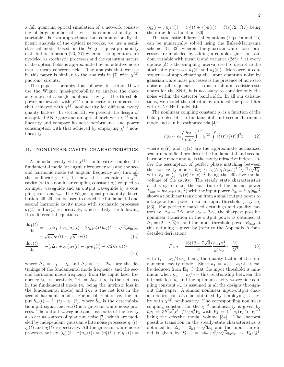a full quantum optical simulation of a network consisting of large number of cavities is computationally intractable. For an approximate but computationally efficient analysis of the optical networks, we use a semiclassical model based on the Wigner quasi-probability distribution function [26, 27] wherein the operators are modeled as stochastic processes and the quantum nature of the optical fields is approximated by an additive noise over a mean coherent field. The analysis that we use in this paper is similar to the analysis in [7] with  $\chi^{(3)}$ photonic circuits.

This paper is organized as follows: In section II we use the Wigner quasi-probability to analyze the characteristics of a single nonlinear cavity. The threshold power achievable with  $\chi^{(2)}$  nonlinearity is compared to that achieved with  $\chi^{(3)}$  nonlinearity for different cavity quality factors. In section III, we present the design of an optical AND gate and an optical latch with  $\chi^{(2)}$  nonlinearity and compare its noise performance and power consumption with that achieved by employing  $\chi^{(3)}$  nonlinearity.

#### II. NONLINEAR CAVITY CHARACTERISTICS

A bimodal cavity with  $\chi^{(2)}$  nonlinearity couples the fundamental mode (at angular frequency  $\omega_1$ ) and the second harmonic mode (at angular frequency  $\omega_2$ ) through the nonlinearity. Fig. 1a shows the schematic of a  $\chi^{(2)}$ cavity (with a nonlinear coupling constant  $g_2$ ) coupled to an input waveguide and an output waveguide by a coupling constant  $\kappa_w$ . The Wigner quasi-probability distribution [26–29] can be used to model the fundamental and second harmonic cavity mode with stochastic processes  $a_1(t)$  and  $a_2(t)$  respectively, which satisfy the following Ito's differential equations :

$$
\frac{\mathrm{d}a_1(t)}{\mathrm{d}t} = -(i\Delta_1 + \kappa_1)a_1(t) - 2ig_2a_1^*(t)a_2(t) - \sqrt{\kappa_w}b_{\text{in}}(t)
$$

$$
-\sqrt{\kappa_w}\eta_1(t) - \sqrt{\kappa_l}\eta_l(t) \tag{1a}
$$

$$
\frac{da_2(t)}{dt} = -(i\Delta_2 + \kappa_2)a_2(t) - ig_2a_1^2(t) - \sqrt{2\kappa_2}\eta_2(t)
$$
\n(1b)

where  $\Delta_1 = \omega_1 - \omega_L$  and  $\Delta_2 = \omega_2 - 2\omega_L$  are the detunings of the fundamental mode frequency and the second harmonic mode frequency from the input laser frequency  $\omega_L$  respectively,  $2\kappa_1 = 2\kappa_w + \kappa_l$  is the net loss in the fundamental mode ( $\kappa_l$  being the intrinsic loss in the fundamental mode) and  $2\kappa_2$  is the net loss in the second harmonic mode. For a coherent drive, the input  $b_{\text{in}}(t) = \bar{b}_{\text{in}}(t) + \eta_{\text{in}}(t)$ , where  $\bar{b}_{\text{in}}$  is the deterministic input signal and  $\eta_{\text{in}}(t)$  is a gaussian white noise process. The output waveguide and loss ports of the cavity also act as sources of quantum noise [7], which are modeled by independant gaussian white noise processes  $\eta_1(t)$ ,  $\eta_l(t)$  and  $\eta_2(t)$  respectively. All the gaussian white noise processes satisfy  $\langle \eta_{\text{in}}^*(t+\tau)\eta_{\text{in}}(t) \rangle = \langle \eta_1^*(t+\tau)\eta_1(t) \rangle =$ 

 $\langle \eta_2^*(t+\tau)\eta_2(t)\rangle = \langle \eta_l^*(t+\tau)\eta_l(t)\rangle = \delta(\tau)/2, \delta(\tau)$  being the dirac-delta function [30].

The stochastic differential equations (Eqs. 1a and 1b) can be numerically solved using the Euler-Maruyama scheme [31, 32], wherein the gaussian white noise processes are modelled by adding a complex gaussian random variable with mean 0 and variance  $(2\delta t)^{-1}$  at every update  $(\delta t)$  is the sampling interval used to discretize the stochastic processes  $a_1(t)$  and  $a_2(t)$ ). Moreover, a consequence of approximating the input quantum noise by gaussian white noise processes is the presence of non-zero noise at all frequencies – so as to obtain realistic estimates for the SNR, it is necessary to consider only the noise within the detector bandwidth. In all our calculations, we model the detector by an ideal low pass filter with  $\sim$  5 GHz bandwidth.

The nonlinear coupling constant  $g_2$  is a function of the field profiles of the fundamental and second harmonic mode and can be estimated via [4]:

$$
\hbar g_2 \sim \epsilon_0 \left(\frac{\hbar \omega_1}{\epsilon_0 n_0^2}\right)^{1.5} \chi^{(2)} \int e_1^2(\mathbf{r}) e_2^*(\mathbf{r}) d^3 \mathbf{r} \tag{2}
$$

where  $e_1(\mathbf{r})$  and  $e_2(\mathbf{r})$  are the approximate normalized scalar modal field profiles of the fundamental and second harmonic mode and  $n_0$  is the cavity refractive index. Under the assumption of perfect phase matching between the two cavity modes,  $\hbar g_2 \sim \epsilon_0 (\hbar \omega_1 / \epsilon_0 n_0^2)^{1.5} \chi^{(2)} / \sqrt{V_2}$ , with  $V_2 = (\int |e_1(\mathbf{r})|^3 d^3 \mathbf{r})^{-2}$  being the effective modal volume of the cavity. The steady state characteristics of this system i.e. the variation of the output power  $P_{\text{out}} = \hbar \omega_1 \kappa_w \langle |a_1|^2 \rangle$  with the input power  $P_{\text{in}} = \hbar \omega_1 |b_{\text{in}}|^2$ shows a nonlinear transition from a small output power to a large output power near an input threshold (Fig. 1b) [33]. For perfectly matched detunings and quality factors i.e.  $\Delta_2 = 2\Delta_1$  and  $\kappa_2 = 2\kappa_1$ , the sharpest possible nonlinear transition in the output power is obtained at  $\Delta_1 = (2 + \sqrt{3})\kappa_1$  and the input threshold power  $P_{th,2}$  at this detuning is given by (refer to the Appendix A for a detailed derivation):

$$
P_{\text{th},2} = \frac{16(12 + 7\sqrt{3})}{9} \frac{\hbar \omega_1 \kappa_1^4}{g_2^2 \kappa_w} \sim \frac{V_2}{Q^3} \tag{3}
$$

with  $Q = \omega_1/4\pi\kappa_1$  being the quality factor of the fundamental cavity mode. Since  $\kappa_1 = \kappa_w + \kappa_l/2$ , it can be deduced from Eq. 3 that the input threshold is minimum when  $\kappa_w = \kappa_l/6$  – this relationship between the intrinsic loss  $\kappa_l$  and the optimum cavity-waveguide coupling constant  $\kappa_w$  is assumed in all the designs throughout this paper. A similar nonlinear input-output characteristics can also be obtained by employing a cavity with  $\chi^{(3)}$  nonlinearity. The corresponding nonlinear coupling constant for the  $\chi^{(3)}$  nonlinearity is given by  $\hbar g_3 = 3\hbar^2 \omega_1^2 \chi^{(3)}/4\epsilon_0 n_0^4 V_3$  with  $V_3 = (\int |\dot{e}_1(\mathbf{r})|^4 d^3 \mathbf{r})^{-1}$ being the effective modal volume [34]. The sharpest possible transition in the steady-state characteristics is obtained for  $\Delta_1 = 2g_3 - \sqrt{3\kappa_1}$  and the input threshobtained for  $\Delta_1 = 2g_3$  voir and the input since of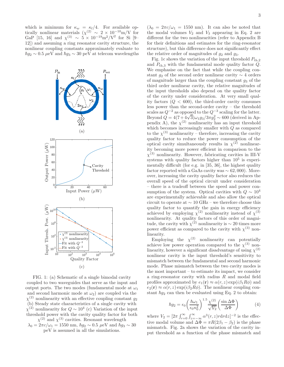which is minimum for  $\kappa_w = \kappa_l/4$ . For available optically nonlinear materials  $(\chi^{(2)}) \sim 2 \times 10^{-10}$ m/V for GaP [15, 16] and  $\chi^{(3)} \sim 5 \times 10^{-19} \text{m}^2/\text{V}^2$  for Si [9– 12]) and assuming a ring resonator cavity structure, the nonlinear coupling constants approximately evaluate to  $\hbar g_2 \sim 0.5 \,\mu\text{eV}$  and  $\hbar g_3 \sim 30 \,\text{peV}$  at telecom wavelengths



FIG. 1: (a) Schematic of a single bimodal cavity coupled to two waveguides that serve as the input and output ports. The two modes (fundamental mode at  $\omega_1$ and second harmonic mode at  $\omega_2$ ) are coupled via the  $\chi^{(2)}$  nonlinearity with an effective coupling constant  $g_2$ (b) Steady state characteristics of a single cavity with  $\chi^{(2)}$  nonlinearity for  $Q \sim 10^4$  (c) Variation of the input threshold power with the cavity quality factor for both  $\chi^{(2)}$  and  $\chi^{(3)}$  cavities. Resonant wavelength

 $\lambda_0 = 2\pi c/\omega_1 = 1550$  nm,  $\hbar g_2 \sim 0.5$   $\mu$ eV and  $\hbar g_3 \sim 30$ peV is assumed in all the simulations.

 $(\lambda_0 = 2\pi c/\omega_1 = 1550 \text{ nm})$ . It can also be noted that the modal volumes  $V_2$  and  $V_3$  appearing in Eq. 2 are different for the two nonlinearities (refer to Appendix B for their definitions and estimates for the ring-resonator structure), but this difference does not significantly effect the relative order of magnitudes of  $g_2$  and  $g_3$ .

Fig. 1c shows the variation of the input threshold  $P_{th,2}$ and  $P_{th,3}$  with the fundamental mode quality factor  $Q$ . We emphasise on the fact that while the coupling constant  $g_2$  of the second order nonlinear cavity  $\sim$  4 orders of magnitude larger than the coupling constant  $g_3$  of the third order nonlinear cavity, the relative magnitudes of the input thresholds also depend on the quality factor of the cavity under consideration. At very small quality factors  $(Q < 600)$ , the third-order cavity consumes less power than the second-order cavity – the threshold scales as  $Q^{-2}$  as opposed to the  $Q^{-3}$  scaling for the latter.<br>Beyond  $Q = 4(7 + 4\sqrt{3})\omega_1 g_3/3\pi g_2^2 \sim 600$  (derived in Appendix A), the  $\chi^{(2)}$  nonlinearity has an input threshold which becomes increasingly smaller with Q as compared to the  $\chi^{(3)}$  nonlinearity – therefore, increasing the cavity quality factor to reduce the power consumption of the optical cavity simultaneously results in  $\chi^{(2)}$  nonlinearity becoming more power efficient in comparison to the  $\chi^{(3)}$  nonlinearity. However, fabricating cavities in III-V systems with quality factors higher than  $10<sup>5</sup>$  is experimentally difficult (for e.g. in [35, 36], the highest quality factor reported with a GaAs cavity was  $\sim 62,000$ ). Moreover, increasing the cavity quality factor also reduces the overall speed of the optical circuit under consideration – there is a tradeoff between the speed and power consumption of the system. Optical cavities with  $Q \sim 10^4$ are experimentally achievable and also allow the optical circuit to operate at ∼ 10 GHz – we therefore choose this quality factor to quantify the gain in energy efficiency achieved by employing  $\chi^{(2)}$  nonlinearity instead of  $\chi^{(3)}$ nonlinearity. At quality factors of this order of magnitude, the cavity with  $\chi^{(2)}$  nonlinearity is ∼ 20 times more power efficient as compared to the cavity with  $\chi^{(3)}$  nonlinearity.

Employing the  $\chi^{(2)}$  nonlinearity can potentially achieve low power operation compared to the  $\chi^{(3)}$  nonlinearity, however a significant disadvantage of using  $\chi^{(2)}$ nonlinear cavity is the input threshold's sensitivity to mismatch between the fundamental and second harmonic mode. Phase mismatch between the two cavity modes is the most important – to estimate its impact, we consider a ring-resonator cavity with radius  $R$  and modal field profiles approximated by  $e_1(\mathbf{r}) \approx \alpha(r, z) \exp(i\beta_1 R\phi)$  and  $e_2(\mathbf{r}) \approx \alpha(r, z) \exp(i\beta_2 R\phi)$ . The nonlinear coupling constant  $\hbar g_2$  can then be evaluated using Eq. 2 to obtain:

$$
\hbar g_2 = \epsilon_0 \left(\frac{\hbar \omega_1}{\epsilon_0 n_0^2}\right)^{1.5} \frac{\chi^{(2)}}{\sqrt{V_2}} \left(\frac{\sin \Delta \Phi}{\Delta \Phi}\right) \tag{4}
$$

where  $V_2 = \left[2\pi \int_{r=0}^{\infty} \int_{z=-\infty}^{\infty} \alpha^3(r, z) r dr dz\right]^{-2}$  is the effective modal volume and  $\Delta \Phi = \pi R(2\beta_1 - \beta_2)$  is the phase mismatch. Fig. 2a shows the variation of the cavity input threshold as a function of the phase mismatch and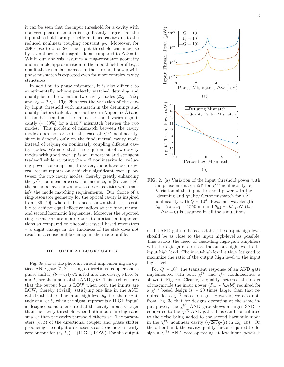it can be seen that the input threshold for a cavity with non-zero phase mismatch is significantly larger than the input threshold for a perfectly matched cavity due to the reduced nonlinear coupling constant  $g_2$ . Moreover, for  $\Delta\Phi$  close to π or  $2\pi$ , the input threshold can increase by several orders of magnitude as compared to  $\Delta \Phi = 0$ . While our analysis assumes a ring-resonator geometry and a simple approximation to the modal field profiles, a qualitatively similar increase in the threshold power with phase mismatch is expected even for more complex cavity structures.

In addition to phase mismatch, it is also difficult to experimentally achieve perfectly matched detuning and quality factor between the two cavity modes ( $\Delta_2 = 2\Delta_1$ ) and  $\kappa_2 = 2\kappa_1$ ). Fig. 2b shows the variation of the cavity input threshold with mismatch in the detunings and quality factors (calculations outlined in Appendix A) and it can be seen that the input threshold varies significantly ( $\sim$  30%) for a ±10% mismatch between the two modes. This problem of mismatch between the cavity modes does not arise in the case of  $\chi^{(3)}$  nonlinearity, since it depends only on the fundamental cavity mode instead of relying on nonlinearly coupling different cavity modes. We note that, the requirement of two cavity modes with good overlap is an important and stringent trade-off while adopting the  $\chi^{(2)}$  nonlinearity for reducing power consumption. However, there have been several recent reports on achieving significant overlap between the two cavity modes, thereby greatly enhancing the  $\chi^{(2)}$  nonlinear process. For instance, in [37] and [38], the authors have shown how to design cavities which satisfy the mode matching requirements. Our choice of a ring-resonator geometry for the optical cavity is inspired from [39, 40], where it has been shown that it is possible to achieve equal effective indices at the fundamental and second harmonic frequencies. Moreover the reported ring resonators are more robust to fabrication imperfections as compared to photonic crystal based resonators – a slight change in the thickness of the slab does not result in a considerable change in the mode profile.

### III. OPTICAL LOGIC GATES

Fig. 3a shows the photonic circuit implementing an optical AND gate [7, 8]. Using a directional coupler and a phase shifter,  $(b_1 + b_2)/\sqrt{2}$  is fed into the cavity, where  $b_1$ and  $b_2$  are the inputs of the AND gate. This itself ensures that the output  $b_{\text{out}}$  is LOW when both the inputs are LOW, thereby trivially satisfying one line in the AND gate truth table. The input high level  $b_0$  (i.e. the magnitude of  $b_1$  or  $b_2$  when the signal represents a HIGH input) is designed so as to ensure that the cavity input is larger than the cavity threshold when both inputs are high and smaller than the cavity threshold otherwise. The parameters  $(\theta, \phi)$  of the directional coupler and phase shifter producing the output are chosen so as to achieve a nearly zero output for  $(b_1, b_2) \equiv (HIGH, LOW)$ . For the output



FIG. 2: (a) Variation of the input threshold power with the phase mismatch  $\Delta\Phi$  for  $\chi^{(2)}$  nonlinearity (c) Variation of the input threshold power with the detuning and quality factor mismatch for  $\chi^{(2)}$ nonlinearity with  $Q \sim 10^4$ . Resonant wavelength  $\lambda_0 = 2\pi c/\omega_1 = 1550$  nm and  $\hbar g_2 \sim 0.5 \mu \text{eV}$  (for  $\Delta \Phi = 0$ ) is assumed in all the simulations.

of the AND gate to be cascadable, the output high level should be as close to the input high-level as possible. This avoids the need of cascading high-gain amplifiers with the logic gate to restore the output high level to the input high level. The input-high level is thus designed to maximize the ratio of the output high level to the input high level.

For  $Q \sim 10^4$ , the transient response of an AND gate implemented with both  $\chi^{(2)}$  and  $\chi^{(3)}$  nonlinearities is shown in Fig. 3b. Clearly, at quality factors of this order of magnitude the input power  $(P_{\text{in}} \sim \hbar \omega_1 b_0^2)$  required for a  $\chi^{(3)}$  based design is ~ 20 times larger than that required for a  $\chi^{(2)}$  based design. However, we also note from Fig. 3c that for designs operating at the same input power, the  $\chi^{(3)}$  AND gate shows a larger SNR as compared to the  $\chi^{(2)}$  AND gate. This can be attributed to the noise being added to the second harmonic mode in the  $\chi^{(2)}$  nonlinear cavity  $(\sqrt{2\kappa_2}\eta_2(t))$  in Eq. 1b). On the other hand, the cavity quality factor required to design a  $\chi^{(3)}$  AND gate operating at low input power is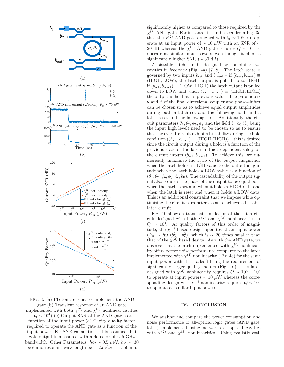

FIG. 3: (a) Photonic circuit to implement the AND gate (b) Transient response of an AND gate implemented with both  $\chi^{(2)}$  and  $\chi^{(3)}$  nonlinear cavities

 $(Q \sim 10^4)$  (c) Output SNR of the AND gate as a function of the input power (d) Cavity quality factor required to operate the AND gate as a function of the input power. For SNR calculations, it is assumed that gate output is measured with a detector of  $\sim$  5 GHz bandwidth. Other Parameters:  $\hbar g_2 \sim 0.5 \mu \text{eV}$ ,  $\hbar g_3 \sim 30$ peV and resonant wavelength  $\lambda_0 = 2\pi c/\omega_1 = 1550$  nm.

significantly higher as compared to those required by the  $\chi^{(2)}$  AND gate. For instance, it can be seen from Fig. 3d that the  $\chi^{(2)}$  AND gate designed with  $Q \sim 10^4$  can operate at an input power of  $\sim$  10 µW with an SNR of  $\sim$ 20 dB whereas the  $\chi^{(3)}$  AND gate requires  $Q \sim 10^5$  to operate at similar input powers even though it offers a significantly higher SNR ( $\sim$  30 dB).

A bistable latch can be designed by combining two cavities in feedback (Fig. 4a) [7, 8]. The latch state is governed by two inputs  $b_{\text{set}}$  and  $b_{\text{reset}} -$  if  $(b_{\text{set}}, b_{\text{reset}}) \equiv$ (HIGH, LOW), the latch output is pulled up to HIGH, if  $(b_{\text{set}}, b_{\text{reset}}) \equiv (\text{LOW}, \text{HIGH})$  the latch output is pulled down to LOW and when  $(b_{\text{set}}, b_{\text{reset}}) \equiv (\text{HIGH}, \text{HIGH})$ the output is held at its previous value. The parameters  $\theta$  and  $\phi$  of the final directional coupler and phase-shifter can be chosen so as to achieve equal output amplitudes during both a latch set and the following hold, and a latch reset and the following hold. Additionally, the circuit parameters  $\theta_1, \theta_2, \phi_b, \phi_f$  and the field  $b_c, b_0$  (b<sub>0</sub> being the input high level) need to be chosen so as to ensure that the overall circuit exhibits bistability during the hold condition  $((b_{\text{set}}, b_{\text{reset}}) \equiv (\text{HIGH}, \text{HIGH})) - \text{this is desired}$ since the circuit output during a hold is a function of the previous state of the latch and not dependent solely on the circuit inputs  $(b_{\text{set}}, b_{\text{reset}})$ . To achieve this, we numerically maximize the ratio of the output magnitude when the latch holds a HIGH value to the output magnitude when the latch holds a LOW value as a function of  $(\theta_1, \theta_2, \phi_b, \phi_f, b_c, b_0)$ . The cascadability of the output signal also requires the phase of the output to be equal both when the latch is set and when it holds a HIGH data and when the latch is reset and when it holds a LOW data. This is an additional constraint that we impose while optimising the circuit parameters so as to achieve a bistable latch circuit.

Fig. 4b shows a transient simulation of the latch circuit designed with both  $\chi^{(2)}$  and  $\chi^{(3)}$  nonlinearities at  $Q \sim 10^4$ . At quality factors of this order of magnitude, the  $\chi^{(2)}$  based design operates at an input power  $(P_{\text{in}} \sim \hbar \omega_1 (b_0^2 + b_c^2))$  which is ~ 20 times smaller than that of the  $\chi^{(3)}$  based design. As with the AND gate, we observe that the latch implemented with  $\chi^{(3)}$  nonlinearity offers better noise performance compared to the latch implemented with  $\chi^{(2)}$  nonlinearity (Fig. 4c) for the same input power with the tradeoff being the requirement of significantly larger quality factors (Fig. 4d) – the latch designed with  $\chi^{(3)}$  nonlinearity requires  $Q \sim 10^5 - 10^6$ to operate at input powers  $\sim$  10  $\mu$ W whereas the corresponding design with  $\chi^{(2)}$  nonlinearity requires  $Q \sim 10^4$ to operate at similar input powers.

#### IV. CONCLUSION

We analyze and compare the power consumption and noise performance of all-optical logic gates (AND gate, latch) implemented using networks of optical cavities with  $\chi^{(2)}$  and  $\chi^{(3)}$  nonlinearities. Using realistic esti-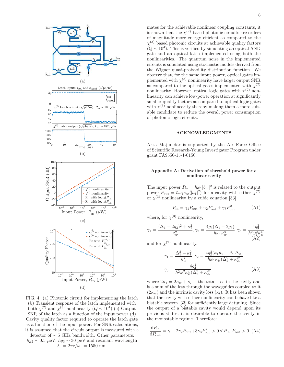

FIG. 4: (a) Photonic circuit for implementing the latch (b) Transient response of the latch implemented with both  $\chi^{(2)}$  and  $\chi^{(3)}$  nonlinearity  $(Q \sim 10^4)$  (c) Output SNR of the latch as a function of the input power (d) Cavity quality factor required to operate the latch gate as a function of the input power. For SNR calculations, It is assumed that the circuit output is measured with a

detector of ∼ 5 GHz bandwidth. Other parameters:  $\hbar g_2 \sim 0.5 \mu\text{eV}, \hbar g_3 \sim 30 \text{ peV}$  and resonant wavelength  $\lambda_0 = 2\pi c/\omega_1 = 1550$  nm.

mates for the achievable nonlinear coupling constants, it is shown that the  $\chi^{(2)}$  based photonic circuits are orders of magnitude more energy efficient as compared to the  $\chi^{(3)}$  based photonic circuits at achievable quality factors  $(Q \sim 10^4)$ . This is verified by simulating an optical AND gate and an optical latch implemented using both the nonlinearities. The quantum noise in the implemented circuits is simulated using stochastic models derived from the Wigner quasi-probability distribution function. We observe that, for the same input power, optical gates implemented with  $\chi^{(3)}$  nonlinearity have larger output SNR as compared to the optical gates implemented with  $\chi^{(2)}$ nonlinearity. However, optical logic gates with  $\chi^{(2)}$  nonlinearity can achieve low-power operation at significantly smaller quality factors as compared to optical logic gates with  $\chi^{(3)}$  nonlinearity thereby making them a more suitable candidate to reduce the overall power consumption of photonic logic circuits.

#### ACKNOWLEDGMENTS

Arka Majumdar is supported by the Air Force Office of Scientific Research-Young Investigator Program under grant FA9550-15-1-0150.

### Appendix A: Derivation of threshold power for a nonlinear cavity

The input power  $P_{\text{in}} = \hbar \omega_1 |b_{\text{in}}|^2$  is related to the output power  $P_{\text{out}} = \hbar \omega_1 \kappa_w \langle |a_1|^2 \rangle$  for a cavity with either  $\chi^{(2)}$ or  $\chi^{(3)}$  nonlinearity by a cubic equation [33]

$$
P_{\rm in} = \gamma_1 P_{\rm out} + \gamma_2 P_{\rm out}^2 + \gamma_3 P_{\rm out}^3 \tag{A1}
$$

where, for  $\chi^{(3)}$  nonlinearity,

$$
A_1 = \frac{(\Delta_1 - 2g_3)^2 + \kappa_1^2}{\kappa_w^2}, \gamma_2 = \frac{4g_3(\Delta_1 - 2g_3)}{\hbar\omega_1\kappa_w^3}, \gamma_3 = \frac{4g_3^2}{\hbar^2\omega_1^2\kappa_w^4}
$$
\n(A2)

and for  $\chi^{(2)}$  nonlinearity,

 $\gamma$ 

$$
\gamma_1 = \frac{\Delta_1^2 + \kappa_1^2}{\kappa_w^2}, \gamma_2 = \frac{4g_2^2(\kappa_1\kappa_2 - \Delta_1\Delta_2)}{\hbar\omega_1\kappa_w^3(\Delta_2^2 + \kappa_2^2)}
$$

$$
\gamma_3 = \frac{4g_2^4}{\hbar^2\omega_1^2\kappa_w^4(\Delta_2^2 + \kappa_2^2)}\tag{A3}
$$

where  $2\kappa_1 = 2\kappa_w + \kappa_l$  is the total loss in the cavity and is a sum of the loss through the waveguides coupled to it  $(2\kappa_w)$  and the intrinsic cavity loss  $(\kappa_l)$ . It has been shown that the cavity with either nonlinearity can behave like a bistable system [33] for sufficiently large detuning. Since the output of a bistable cavity would depend upon its previous states, it is desirable to operate the cavity in the monostable regime. Therefore:

$$
\frac{\mathrm{d}P_{\text{in}}}{\mathrm{d}P_{\text{out}}} = \gamma_1 + 2\gamma_2 P_{\text{out}} + 3\gamma_3 P_{\text{out}}^2 > 0 \,\forall P_{\text{in}}, P_{\text{out}} > 0 \,\text{ (A4)}
$$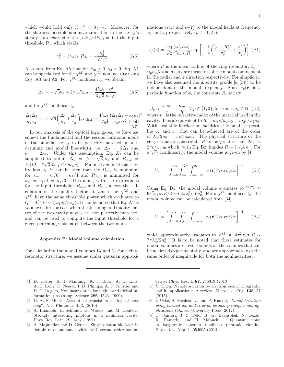which would hold only if  $\gamma_2^2 < 3\gamma_3\gamma_1$ . Moreover, for the sharpest possible nonlinear transition in the cavity's steady state characteristics,  $dP_{in}/dP_{out} = 0$  at the input threshold  $P_{\text{th}}$  which yields:

$$
\gamma_2^2 = 3\gamma_3\gamma_1, P_{\text{th}} = -\frac{\gamma_2^3}{27\gamma_3^2}
$$
 (A5)

Also note from Eq. A5 that for  $P_{\text{th}} > 0$ ,  $\gamma_2 < 0$ . Eq. A5 can be specialised for the  $\chi^{(2)}$  and  $\chi^{(3)}$  nonlinearity using Eqs. A3 and A2. For  $\chi^{(3)}$  nonlinearity, we obtain:

$$
\Delta_1 = -\sqrt{3}\kappa_1 + 2g_3, P_{\text{th},3} = \frac{4\hbar\omega_1}{3\sqrt{3}} \frac{\kappa_1^3}{\kappa_w g_3} \tag{A6}
$$

and for  $\chi^{(2)}$  nonlinearity,

$$
\frac{\Delta_1 \Delta_2}{\kappa_1 \kappa_2} - 1 = \sqrt{3} \left( \frac{\Delta_1}{\kappa_1} + \frac{\Delta_2}{\kappa_2} \right), P_{\text{th},2} = \frac{4\hbar \omega_1}{27g_2^2} \frac{(\Delta_1 \Delta_2 - \kappa_1 \kappa_2)^3}{\kappa_w (\Delta_2^2 + \kappa_2^2)} \tag{A7}
$$

In our analysis of the optical logic gates, we have assumed the fundamental and the second harmonic mode of the bimodal cavity to be perfectly matched in both detuning and modal line-width, i.e.  $\Delta_2 = 2\Delta_1$  and  $\kappa_2 = 2\kappa_1$ . Under this assumption, Eq. A7 can be simplified to obtain  $\Delta_1 = (2 + \sqrt{3})\kappa_1$  and  $P_{\text{th,2}} = 16(12 + 7\sqrt{3})\hbar\omega_1\kappa_1^4/9\kappa_w g_2^2$ . For a given intrinsic cavity loss  $\kappa_l$ , it can be seen that the  $P_{th,2}$  is minimum for  $\kappa_w = \kappa_l/6 = \kappa_1/4$  and  $P_{th,3}$  is minimised for  $\kappa_w = \kappa_l/4 = \kappa_1/3$ . This along with the expressions for the input thresholds  $P_{th,2}$  and  $P_{th,3}$  allows the calculation of the quality factor at which the  $\chi^{(2)}$  and  $\chi^{(3)}$  have the same threshold power which evaluates to  $Q = 4(7+4\sqrt{3})\omega_1 g_3/3\pi g_2^2$ . It can be noted that Eq. A7 is valid even for the case when the detuning and quality factor of the two cavity modes are not perfectly matched, and can be used to compute the input threshold for a given percentage mismatch between the two modes.

#### Appendix B: Modal volume calculation

For calculating the modal volumes  $V_2$  and  $V_3$  for a ringresonator structure, we assume scalar gaussian approxi-

- [1] D. Cotter, R. J. Manning, K. J. Blow, A. D. Ellis, A. E. Kelly, D. Nesset, I. D. Phillips, A. J. Poustie, and D. C. Rogers, Nonlinear optics for high-speed digital information processing, Science 286, 1523 (1999).
- [2] D. A. B. Miller, Are optical transistors the logical next step?, Nat. Photonics 4, 3, (2010).
- [3] A. Imamolu, H. Schmidt, G. Woods, and M. Deutsch, Strongly interacting photons in a nonlinear cavity, Phys. Rev. Lett. 79, 1467 (1997).
- [4] A. Majumdar and D. Gerace, Single-photon blockade in doubly resonant nanocavities with second-order nonlin-

mations  $e_1(\mathbf{r})$  and  $e_2(\mathbf{r})$  to the modal fields at frequency  $\omega_1$  and  $\omega_2$  respectively  $(p \in \{1,2\})$ :

$$
e_p(\mathbf{r}) = \frac{\exp(i\beta_p R\phi)}{\sqrt{2\pi^2 \sigma_r \sigma_z R}} \exp\left[-\frac{1}{2}\left(\frac{(r-R)^2}{\sigma_r^2} + \frac{z^2}{\sigma_z^2}\right)\right]
$$
(B1)

where R is the mean radius of the ring resonator,  $\beta_p =$  $\omega_p n_0/c$  and  $\sigma_r$ ,  $\sigma_z$  are measures of the modal confinement in the radial and  $z$  direction respectively. For simplicity, we have also assumed the intensity profile  $|e_p(\mathbf{r})|^2$  to be independant of the modal frequency. Since  $e_p(\mathbf{r})$  is a periodic function of  $\phi$ , the constants  $\beta_p$  satisfy:

 $\beta_p \approx \frac{\omega_p n_0}{c}$  $\frac{1}{c}m_0}{r} = \frac{m_p}{R}$  $\frac{n_p}{R}$ ,  $\forall p \in \{1, 2\}$ , for some  $m_p \in \mathbb{N}$  (B2) where  $n_0$  is the refractive index of the material used in the cavity. This is equivalent to  $R = m_1 c / \omega_1 n_0 = m_2 c / \omega_2 n_0$ . With available fabrication facilities, the smallest possible  $\sigma_r$  and  $\sigma_z$  that can be achieved are of the order of  $\lambda_0/2n_0 = \pi c/n_0\omega_1$ . The physical structure of the ring-resonator constraints R to be greater than  $2\sigma_r \sim$  $2\pi c/\omega_1 n_0$  which, with Eq. B2, implies  $R \sim 7c/\omega_1 n_0$ . For a  $\chi^{(2)}$  nonlinearity, the modal volume is given by [4]

$$
V_2 = \left[ \int_{r=0}^{\infty} \int_{\phi=0}^{2\pi} \int_{z=-\infty}^{\infty} |e_1(\mathbf{r})|^3 r \mathrm{d}r \mathrm{d}\phi \mathrm{d}z \right]^{-2} \tag{B3}
$$

Using Eq. B1, the modal volume evaluates to  $V^{(2)} \approx$  $9\pi^2 \sigma_z \sigma_r R/2 \sim 63\pi \lambda_0^3/16n_0^3$ . For a  $\chi^{(3)}$  nonlinearity, the modal volume can be calculated from [34]

$$
V_3 = \left[ \int_{r=0}^{\infty} \int_{\phi=0}^{2\pi} \int_{z=-\infty}^{\infty} |e_1(\mathbf{r})|^4 r \mathrm{d}r \mathrm{d}\phi \mathrm{d}z \right]^{-1} \tag{B4}
$$

which approximately evaluates to  $V^{(3)} \approx 4\pi^2 \sigma_z \sigma_r R \sim$  $7\pi\lambda_0^3/2n_0^3$ . It is to be noted that these estimates for modal volumes are lower bounds on the volumes that can be achieved experimentally, and are approximately of the same order of magnitude for both the nonlinearities.

earity, Phys. Rev. B 87, 235319 (2013).

- [5] Y. Chen, Nanofabrication by electron beam lithography and its applications: A review, Microelec. Eng. 135, 57 (2015).
- [6] I. Utke, S. Moshkalev, and P. Russell, Nanofabrication using focused ion and electron beams: principles and applications (Oxford University Press, 2012).
- [7] C. Santori, J. S. Pelc, R. G. Beausoleil, N. Tezak, R. Hamerly, and H. Mabuchi, Quantum noise in large-scale coherent nonlinear photonic circuits, Phys. Rev. App. 1, 054005 (2014).